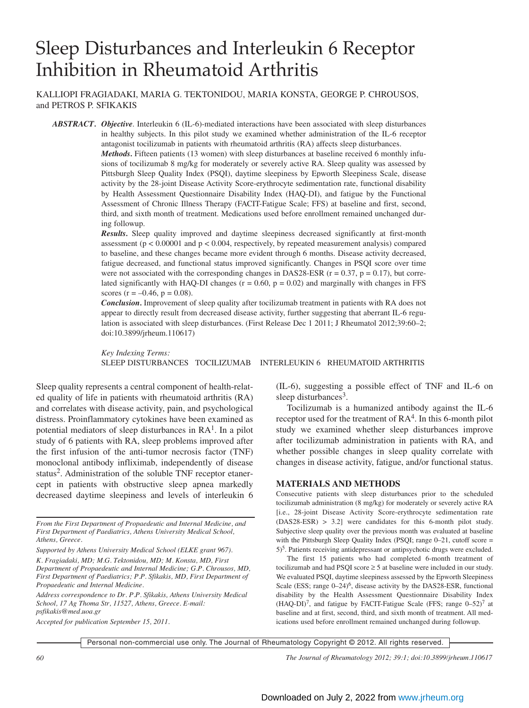# Sleep Disturbances and Interleukin 6 Receptor Inhibition in Rheumatoid Arthritis

KALLIOPI FRAGIADAKI, MARIA G. TEKTONIDOU, MARIA KONSTA, GEORGE P. CHROUSOS, and PETROS P. SFIKAKIS

*ABSTRACT. Objective*. Interleukin 6 (IL-6)-mediated interactions have been associated with sleep disturbances in healthy subjects. In this pilot study we examined whether administration of the IL-6 receptor antagonist tocilizumab in patients with rheumatoid arthritis (RA) affects sleep disturbances.

> *Methods.* Fifteen patients (13 women) with sleep disturbances at baseline received 6 monthly infusions of tocilizumab 8 mg/kg for moderately or severely active RA. Sleep quality was assessed by Pittsburgh Sleep Quality Index (PSQI), daytime sleepiness by Epworth Sleepiness Scale, disease activity by the 28-joint Disease Activity Score-erythrocyte sedimentation rate, functional disability by Health Assessment Questionnaire Disability Index (HAQ-DI), and fatigue by the Functional Assessment of Chronic Illness Therapy (FACIT-Fatigue Scale; FFS) at baseline and first, second, third, and sixth month of treatment. Medications used before enrollment remained unchanged during followup.

> *Results.* Sleep quality improved and daytime sleepiness decreased significantly at first-month assessment ( $p < 0.00001$  and  $p < 0.004$ , respectively, by repeated measurement analysis) compared to baseline, and these changes became more evident through 6 months. Disease activity decreased, fatigue decreased, and functional status improved significantly. Changes in PSQI score over time were not associated with the corresponding changes in DAS28-ESR ( $r = 0.37$ ,  $p = 0.17$ ), but correlated significantly with HAQ-DI changes ( $r = 0.60$ ,  $p = 0.02$ ) and marginally with changes in FFS scores ( $r = -0.46$ ,  $p = 0.08$ ).

> *Conclusion.* Improvement of sleep quality after tocilizumab treatment in patients with RA does not appear to directly result from decreased disease activity, further suggesting that aberrant IL-6 regulation is associated with sleep disturbances. (First Release Dec 1 2011; J Rheumatol 2012;39:60–2; doi:10.3899/jrheum.110617)

> *Key Indexing Terms:* SLEEP DISTURBANCES TOCILIZUMAB INTERLEUKIN 6 RHEUMATOID ARTHRITIS

Sleep quality represents a central component of health-related quality of life in patients with rheumatoid arthritis (RA) and correlates with disease activity, pain, and psychological distress. Proinflammatory cytokines have been examined as potential mediators of sleep disturbances in  $RA<sup>1</sup>$ . In a pilot study of 6 patients with RA, sleep problems improved after the first infusion of the anti-tumor necrosis factor (TNF) monoclonal antibody infliximab, independently of disease status<sup>2</sup>. Administration of the soluble TNF receptor etanercept in patients with obstructive sleep apnea markedly decreased daytime sleepiness and levels of interleukin 6

*K. Fragiadaki, MD; M.G. Tektonidou, MD; M. Konsta, MD, First Department of Propaedeutic and Internal Medicine; G.P. Chrousos, MD, First Department of Paediatrics; P.P. Sfikakis, MD, First Department of Propaedeutic and Internal Medicine.*

*Address correspondence to Dr. P.P. Sfikakis, Athens University Medical School, 17 Ag Thoma Str, 11527, Athens, Greece. E-mail: psfikakis@med.uoa.gr*

*Accepted for publication September 15, 2011.*

(IL-6), suggesting a possible effect of TNF and IL-6 on sleep disturbances<sup>3</sup>.

Tocilizumab is a humanized antibody against the IL-6 receptor used for the treatment of  $RA<sup>4</sup>$ . In this 6-month pilot study we examined whether sleep disturbances improve after tocilizumab administration in patients with RA, and whether possible changes in sleep quality correlate with changes in disease activity, fatigue, and/or functional status.

#### **MATERIALS AND METHODS**

Consecutive patients with sleep disturbances prior to the scheduled tocilizumab administration (8 mg/kg) for moderately or severely active RA [i.e., 28-joint Disease Activity Score-erythrocyte sedimentation rate (DAS28-ESR) > 3.2] were candidates for this 6-month pilot study. Subjective sleep quality over the previous month was evaluated at baseline with the Pittsburgh Sleep Quality Index (PSQI; range  $0-21$ , cutoff score = 5)5. Patients receiving antidepressant or antipsychotic drugs were excluded.

The first 15 patients who had completed 6-month treatment of tocilizumab and had PSQI score  $\geq$  5 at baseline were included in our study. We evaluated PSQI, daytime sleepiness assessed by the Epworth Sleepiness Scale (ESS; range 0–24)<sup>6</sup>, disease activity by the DAS28-ESR, functional disability by the Health Assessment Questionnaire Disability Index  $(HAQ-DI)^7$ , and fatigue by FACIT-Fatigue Scale (FFS; range  $0-52$ )<sup>7</sup> at baseline and at first, second, third, and sixth month of treatment. All medications used before enrollment remained unchanged during followup.

Personal non-commercial use only. The Journal of Rheumatology Copyright © 2012. All rights reserved.

*60 The Journal of Rheumatology 2012; 39:1; doi:10.3899/jrheum.110617*

*From the First Department of Propaedeutic and Internal Medicine, and First Department of Paediatrics, Athens University Medical School, Athens, Greece.*

*Supported by Athens University Medical School (ELKE grant 967).*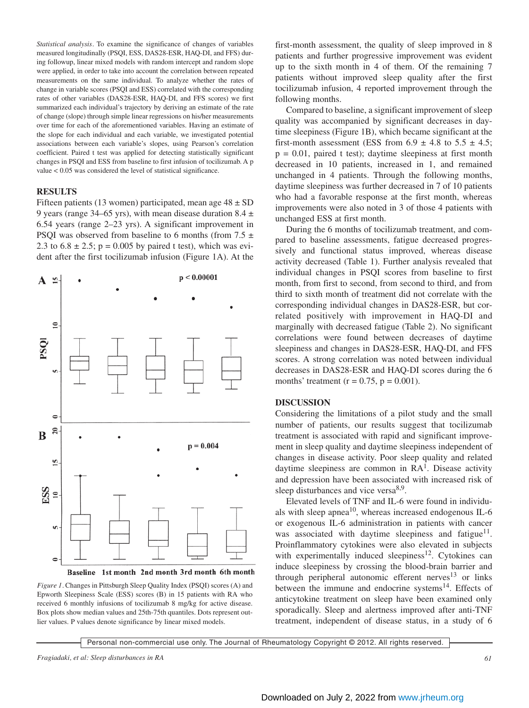*Statistical analysis.* To examine the significance of changes of variables measured longitudinally (PSQI, ESS, DAS28-ESR, HAQ-DI, and FFS) during followup, linear mixed models with random intercept and random slope were applied, in order to take into account the correlation between repeated measurements on the same individual. To analyze whether the rates of change in variable scores (PSQI and ESS) correlated with the corresponding rates of other variables (DAS28-ESR, HAQ-DI, and FFS scores) we first summarized each individual's trajectory by deriving an estimate of the rate of change (slope) through simple linear regressions on his/her measurements over time for each of the aforementioned variables. Having an estimate of the slope for each individual and each variable, we investigated potential associations between each variable's slopes, using Pearson's correlation coefficient. Paired t test was applied for detecting statistically significant changes in PSQI and ESS from baseline to first infusion of tocilizumab. A p value < 0.05 was considered the level of statistical significance.

## **RESULTS**

Fifteen patients (13 women) participated, mean age  $48 \pm SD$ 9 years (range 34–65 yrs), with mean disease duration 8.4  $\pm$ 6.54 years (range 2–23 yrs). A significant improvement in PSQI was observed from baseline to 6 months (from  $7.5 \pm$ 2.3 to  $6.8 \pm 2.5$ ; p = 0.005 by paired t test), which was evident after the first tocilizumab infusion (Figure 1A). At the



Baseline 1st month 2nd month 3rd month 6th month

*Figure 1.* Changes in Pittsburgh Sleep Quality Index (PSQI) scores (A) and Epworth Sleepiness Scale (ESS) scores (B) in 15 patients with RA who received 6 monthly infusions of tocilizumab 8 mg/kg for active disease. Box plots show median values and 25th-75th quantiles. Dots represent outlier values. P values denote significance by linear mixed models.

first-month assessment, the quality of sleep improved in 8 patients and further progressive improvement was evident up to the sixth month in 4 of them. Of the remaining 7 patients without improved sleep quality after the first tocilizumab infusion, 4 reported improvement through the following months.

Compared to baseline, a significant improvement of sleep quality was accompanied by significant decreases in daytime sleepiness (Figure 1B), which became significant at the first-month assessment (ESS from  $6.9 \pm 4.8$  to  $5.5 \pm 4.5$ ;  $p = 0.01$ , paired t test); daytime sleepiness at first month decreased in 10 patients, increased in 1, and remained unchanged in 4 patients. Through the following months, daytime sleepiness was further decreased in 7 of 10 patients who had a favorable response at the first month, whereas improvements were also noted in 3 of those 4 patients with unchanged ESS at first month.

During the 6 months of tocilizumab treatment, and compared to baseline assessments, fatigue decreased progressively and functional status improved, whereas disease activity decreased (Table 1). Further analysis revealed that individual changes in PSQI scores from baseline to first month, from first to second, from second to third, and from third to sixth month of treatment did not correlate with the corresponding individual changes in DAS28-ESR, but correlated positively with improvement in HAQ-DI and marginally with decreased fatigue (Table 2). No significant correlations were found between decreases of daytime sleepiness and changes in DAS28-ESR, HAQ-DI, and FFS scores. A strong correlation was noted between individual decreases in DAS28-ESR and HAQ-DI scores during the 6 months' treatment ( $r = 0.75$ ,  $p = 0.001$ ).

#### **DISCUSSION**

Considering the limitations of a pilot study and the small number of patients, our results suggest that tocilizumab treatment is associated with rapid and significant improvement in sleep quality and daytime sleepiness independent of changes in disease activity. Poor sleep quality and related daytime sleepiness are common in  $RA<sup>1</sup>$ . Disease activity and depression have been associated with increased risk of sleep disturbances and vice versa<sup>8,9</sup>.

Elevated levels of TNF and IL-6 were found in individuals with sleep apnea<sup>10</sup>, whereas increased endogenous IL-6 or exogenous IL-6 administration in patients with cancer was associated with daytime sleepiness and fatigue<sup>11</sup>. Proinflammatory cytokines were also elevated in subjects with experimentally induced sleepiness<sup>12</sup>. Cytokines can induce sleepiness by crossing the blood-brain barrier and through peripheral autonomic efferent nerves $13$  or links between the immune and endocrine systems $^{14}$ . Effects of anticytokine treatment on sleep have been examined only sporadically. Sleep and alertness improved after anti-TNF treatment, independent of disease status, in a study of 6

Personal non-commercial use only. The Journal of Rheumatology Copyright © 2012. All rights reserved.

*Fragiadaki, et al: Sleep disturbances in RA 61*